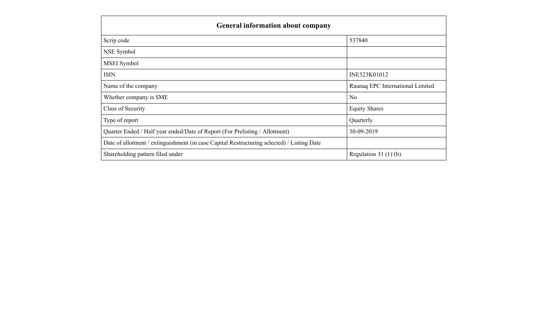| <b>General information about company</b>                                                   |                                  |  |  |  |  |
|--------------------------------------------------------------------------------------------|----------------------------------|--|--|--|--|
| Scrip code                                                                                 | 537840                           |  |  |  |  |
| NSE Symbol                                                                                 |                                  |  |  |  |  |
| MSEI Symbol                                                                                |                                  |  |  |  |  |
| <b>ISIN</b>                                                                                | INE523K01012                     |  |  |  |  |
| Name of the company                                                                        | Raunaq EPC International Limited |  |  |  |  |
| Whether company is SME                                                                     | N <sub>0</sub>                   |  |  |  |  |
| Class of Security                                                                          | <b>Equity Shares</b>             |  |  |  |  |
| Type of report                                                                             | Quarterly                        |  |  |  |  |
| Quarter Ended / Half year ended/Date of Report (For Prelisting / Allotment)                | 30-09-2019                       |  |  |  |  |
| Date of allotment / extinguishment (in case Capital Restructuring selected) / Listing Date |                                  |  |  |  |  |
| Shareholding pattern filed under                                                           | Regulation $31(1)(b)$            |  |  |  |  |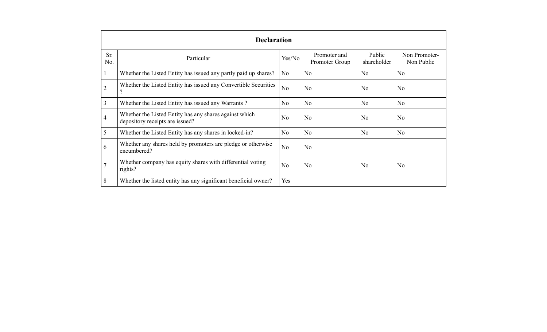|            | <b>Declaration</b>                                                                        |                |                                |                       |                             |  |  |  |
|------------|-------------------------------------------------------------------------------------------|----------------|--------------------------------|-----------------------|-----------------------------|--|--|--|
| Sr.<br>No. | Particular                                                                                | Yes/No         | Promoter and<br>Promoter Group | Public<br>shareholder | Non Promoter-<br>Non Public |  |  |  |
|            | Whether the Listed Entity has issued any partly paid up shares?                           | N <sub>0</sub> | N <sub>0</sub>                 | N <sub>0</sub>        | No                          |  |  |  |
| 2          | Whether the Listed Entity has issued any Convertible Securities                           | No             | N <sub>0</sub>                 | N <sub>0</sub>        | N <sub>0</sub>              |  |  |  |
| 3          | Whether the Listed Entity has issued any Warrants?                                        | No.            | N <sub>0</sub>                 | No                    | N <sub>o</sub>              |  |  |  |
| 4          | Whether the Listed Entity has any shares against which<br>depository receipts are issued? | N <sub>0</sub> | N <sub>0</sub>                 | N <sub>0</sub>        | N <sub>o</sub>              |  |  |  |
| 5          | Whether the Listed Entity has any shares in locked-in?                                    | N <sub>0</sub> | N <sub>o</sub>                 | No                    | N <sub>o</sub>              |  |  |  |
| 6          | Whether any shares held by promoters are pledge or otherwise<br>encumbered?               | N <sub>o</sub> | N <sub>0</sub>                 |                       |                             |  |  |  |
|            | Whether company has equity shares with differential voting<br>rights?                     | N <sub>0</sub> | N <sub>0</sub>                 | N <sub>0</sub>        | N <sub>0</sub>              |  |  |  |
| 8          | Whether the listed entity has any significant beneficial owner?                           | Yes            |                                |                       |                             |  |  |  |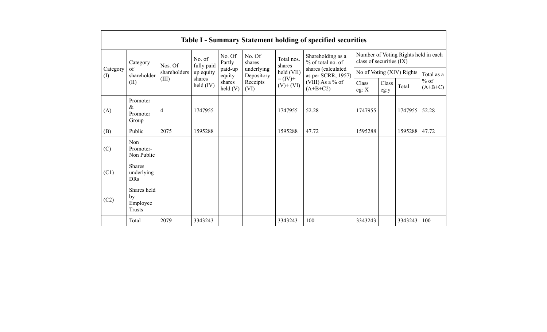|                 |                                                |              |                       |                            |                          |                          | <b>Table I - Summary Statement holding of specified securities</b>         |                                                                  |               |                           |                                   |
|-----------------|------------------------------------------------|--------------|-----------------------|----------------------------|--------------------------|--------------------------|----------------------------------------------------------------------------|------------------------------------------------------------------|---------------|---------------------------|-----------------------------------|
|                 | Category                                       | Nos. Of      | No. of<br>fully paid  | No. Of<br>Partly           | No. Of<br>shares         | Total nos.<br>shares     | Shareholding as a<br>% of total no. of                                     | Number of Voting Rights held in each<br>class of securities (IX) |               |                           |                                   |
| Category<br>(I) | of<br>shareholder                              | shareholders | up equity             | paid-up<br>equity          | underlying<br>Depository | held (VII)               | shares (calculated<br>as per SCRR, 1957)<br>(VIII) As a % of<br>$(A+B+C2)$ |                                                                  |               | No of Voting (XIV) Rights | Total as a<br>$%$ of<br>$(A+B+C)$ |
|                 | (II)                                           | (III)        | shares<br>held $(IV)$ | shares<br>$\text{held}(V)$ | Receipts<br>(VI)         | $= (IV) +$<br>$(V)+(VI)$ |                                                                            | Class<br>eg: $X$                                                 | Class<br>eg:y | Total                     |                                   |
| (A)             | Promoter<br>$\&$<br>Promoter<br>Group          | 4            | 1747955               |                            |                          | 1747955                  | 52.28                                                                      | 1747955                                                          |               | 1747955                   | 52.28                             |
| (B)             | Public                                         | 2075         | 1595288               |                            |                          | 1595288                  | 47.72                                                                      | 1595288                                                          |               | 1595288                   | 47.72                             |
| (C)             | Non<br>Promoter-<br>Non Public                 |              |                       |                            |                          |                          |                                                                            |                                                                  |               |                           |                                   |
| (C1)            | <b>Shares</b><br>underlying<br><b>DRs</b>      |              |                       |                            |                          |                          |                                                                            |                                                                  |               |                           |                                   |
| (C2)            | Shares held<br>by<br>Employee<br><b>Trusts</b> |              |                       |                            |                          |                          |                                                                            |                                                                  |               |                           |                                   |
|                 | Total                                          | 2079         | 3343243               |                            |                          | 3343243                  | 100                                                                        | 3343243                                                          |               | 3343243                   | 100                               |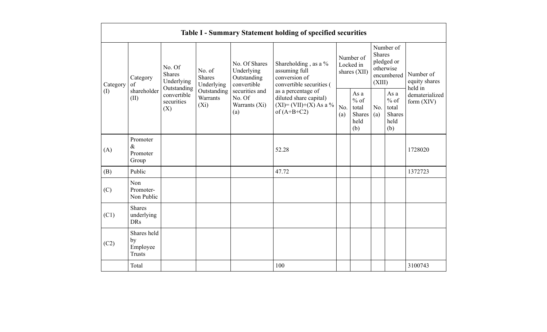|          |                                                                                                                                                                                                                |                                                  |                                        |                                                  | <b>Table I - Summary Statement holding of specified securities</b>                         |                                                    |                                                  |            |                                                         |                                |
|----------|----------------------------------------------------------------------------------------------------------------------------------------------------------------------------------------------------------------|--------------------------------------------------|----------------------------------------|--------------------------------------------------|--------------------------------------------------------------------------------------------|----------------------------------------------------|--------------------------------------------------|------------|---------------------------------------------------------|--------------------------------|
| Category | No. Of Shares<br>No. Of<br>assuming full<br>No. of<br>Underlying<br><b>Shares</b><br>conversion of<br><b>Shares</b><br>Outstanding<br>Category<br>Underlying<br>Underlying<br>convertible<br>of<br>Outstanding | Shareholding, as a %<br>convertible securities ( | Number of<br>Locked in<br>shares (XII) |                                                  | <b>Shares</b><br>(XIII)                                                                    | Number of<br>pledged or<br>otherwise<br>encumbered | Number of<br>equity shares<br>held in            |            |                                                         |                                |
| (I)      | shareholder<br>(II)                                                                                                                                                                                            | convertible<br>securities<br>(X)                 | Outstanding<br>Warrants<br>$(X_i)$     | securities and<br>No. Of<br>Warrants (Xi)<br>(a) | as a percentage of<br>diluted share capital)<br>$(XI) = (VII)+(X) As a %$<br>of $(A+B+C2)$ | No.<br>(a)                                         | As a<br>$%$ of<br>total<br>Shares<br>held<br>(b) | No.<br>(a) | As a<br>$%$ of<br>total<br><b>Shares</b><br>held<br>(b) | dematerialized<br>form $(XIV)$ |
| (A)      | Promoter<br>$\&$<br>Promoter<br>Group                                                                                                                                                                          |                                                  |                                        |                                                  | 52.28                                                                                      |                                                    |                                                  |            |                                                         | 1728020                        |
| (B)      | Public                                                                                                                                                                                                         |                                                  |                                        |                                                  | 47.72                                                                                      |                                                    |                                                  |            |                                                         | 1372723                        |
| (C)      | Non<br>Promoter-<br>Non Public                                                                                                                                                                                 |                                                  |                                        |                                                  |                                                                                            |                                                    |                                                  |            |                                                         |                                |
| (C1)     | <b>Shares</b><br>underlying<br><b>DRs</b>                                                                                                                                                                      |                                                  |                                        |                                                  |                                                                                            |                                                    |                                                  |            |                                                         |                                |
| (C2)     | Shares held<br>by<br>Employee<br><b>Trusts</b>                                                                                                                                                                 |                                                  |                                        |                                                  |                                                                                            |                                                    |                                                  |            |                                                         |                                |
|          | Total                                                                                                                                                                                                          |                                                  |                                        |                                                  | 100                                                                                        |                                                    |                                                  |            |                                                         | 3100743                        |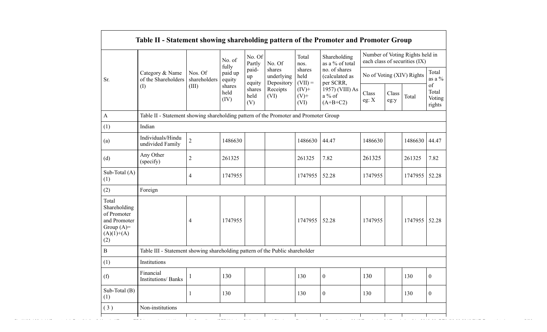|                                                                                             |                                                                                      |                         | No. of<br>fully        | No. Of<br>Partly<br>paid-       | No. Of<br>shares               | Total<br>nos.<br>shares     | Shareholding<br>as a % of total<br>no. of shares |                           |               | Number of Voting Rights held in<br>each class of securities (IX) | Total                                   |
|---------------------------------------------------------------------------------------------|--------------------------------------------------------------------------------------|-------------------------|------------------------|---------------------------------|--------------------------------|-----------------------------|--------------------------------------------------|---------------------------|---------------|------------------------------------------------------------------|-----------------------------------------|
| Sr.                                                                                         | Category & Name<br>of the Shareholders                                               | Nos. Of<br>shareholders | paid up<br>equity      | up                              | underlying                     | held<br>$(VII) =$           | (calculated as<br>per SCRR,                      | No of Voting (XIV) Rights |               |                                                                  | as a $\%$                               |
|                                                                                             | $\rm (I)$                                                                            | (III)                   | shares<br>held<br>(IV) | equity<br>shares<br>held<br>(V) | Depository<br>Receipts<br>(VI) | $(IV)$ +<br>$(V)$ +<br>(VI) | 1957) (VIII) As<br>a % of<br>$(A+B+C2)$          | Class<br>eg: $\mathbf{X}$ | Class<br>eg:y | Total                                                            | $\sigma f$<br>Total<br>Voting<br>rights |
| A                                                                                           | Table II - Statement showing shareholding pattern of the Promoter and Promoter Group |                         |                        |                                 |                                |                             |                                                  |                           |               |                                                                  |                                         |
| (1)                                                                                         | Indian                                                                               |                         |                        |                                 |                                |                             |                                                  |                           |               |                                                                  |                                         |
| (a)                                                                                         | Individuals/Hindu<br>undivided Family                                                | $\overline{2}$          | 1486630                |                                 |                                | 1486630                     | 44.47                                            | 1486630                   |               | 1486630 44.47                                                    |                                         |
| (d)                                                                                         | Any Other<br>(specify)                                                               | $\overline{2}$          | 261325                 |                                 |                                | 261325                      | 7.82                                             | 261325                    |               | 261325                                                           | 7.82                                    |
| Sub-Total (A)<br>(1)                                                                        |                                                                                      | $\overline{4}$          | 1747955                |                                 |                                | 1747955 52.28               |                                                  | 1747955                   |               | 1747955 52.28                                                    |                                         |
| (2)                                                                                         | Foreign                                                                              |                         |                        |                                 |                                |                             |                                                  |                           |               |                                                                  |                                         |
| Total<br>Shareholding<br>of Promoter<br>and Promoter<br>Group $(A)=$<br>$(A)(1)+(A)$<br>(2) |                                                                                      | $\overline{4}$          | 1747955                |                                 |                                | 1747955 52.28               |                                                  | 1747955                   |               | 1747955 52.28                                                    |                                         |
| $\bf{B}$                                                                                    | Table III - Statement showing shareholding pattern of the Public shareholder         |                         |                        |                                 |                                |                             |                                                  |                           |               |                                                                  |                                         |
| (1)                                                                                         | Institutions                                                                         |                         |                        |                                 |                                |                             |                                                  |                           |               |                                                                  |                                         |
| (f)                                                                                         | Financial<br>Institutions/ Banks                                                     | $\mathbf{1}$            | 130                    |                                 |                                | 130                         | $\overline{0}$                                   | 130                       |               | 130                                                              | $\overline{0}$                          |
| Sub-Total (B)<br>(1)                                                                        |                                                                                      |                         | 130                    |                                 |                                | 130                         | $\boldsymbol{0}$                                 | 130                       |               | 130                                                              | $\boldsymbol{0}$                        |
| (3)                                                                                         | Non-institutions                                                                     |                         |                        |                                 |                                |                             |                                                  |                           |               |                                                                  |                                         |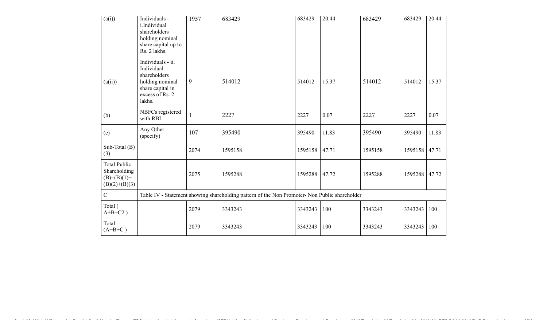| (a(i))                                                                    | Individuals -<br>i.Individual<br>shareholders<br>holding nominal<br>share capital up to<br>Rs. 2 lakhs.             | 1957 | 683429  |  | 683429  | 20.44 | 683429  | 683429  | 20.44 |
|---------------------------------------------------------------------------|---------------------------------------------------------------------------------------------------------------------|------|---------|--|---------|-------|---------|---------|-------|
| (a(ii))                                                                   | Individuals - ii.<br>Individual<br>shareholders<br>holding nominal<br>share capital in<br>excess of Rs. 2<br>lakhs. | 9    | 514012  |  | 514012  | 15.37 | 514012  | 514012  | 15.37 |
| (b)                                                                       | NBFCs registered<br>with RBI                                                                                        |      | 2227    |  | 2227    | 0.07  | 2227    | 2227    | 0.07  |
| (e)                                                                       | Any Other<br>(specify)                                                                                              | 107  | 395490  |  | 395490  | 11.83 | 395490  | 395490  | 11.83 |
| Sub-Total $(B)$<br>(3)                                                    |                                                                                                                     | 2074 | 1595158 |  | 1595158 | 47.71 | 1595158 | 1595158 | 47.71 |
| <b>Total Public</b><br>Shareholding<br>$(B)= (B)(1) +$<br>$(B)(2)+(B)(3)$ |                                                                                                                     | 2075 | 1595288 |  | 1595288 | 47.72 | 1595288 | 1595288 | 47.72 |
| $\overline{C}$                                                            | Table IV - Statement showing shareholding pattern of the Non Promoter- Non Public shareholder                       |      |         |  |         |       |         |         |       |
| Total (<br>$A+B+C2$ )                                                     |                                                                                                                     | 2079 | 3343243 |  | 3343243 | 100   | 3343243 | 3343243 | 100   |
| Total<br>$(A+B+C)$                                                        |                                                                                                                     | 2079 | 3343243 |  | 3343243 | 100   | 3343243 | 3343243 | 100   |

file://192.168.1.11/Secretarial\_Data/Lipika & Kaushal/Raunaq EPC International Ltd/quarterly Compliance/SEBI(Listing Obligations and Disclosure Requirements) Regulations, 2015/Regulation 31/Regulation 31 - 2019-20\_REIL/30.09.2019/SHP Report.html 6/26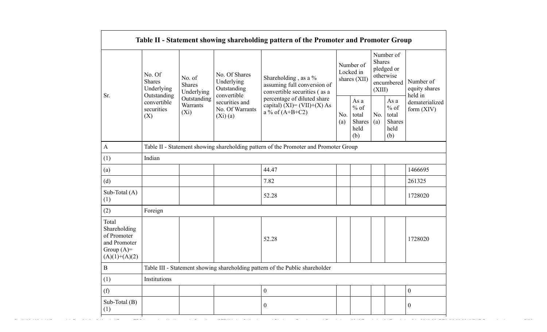|                                                                                         | No. Of<br>Shares<br>Underlying                  | No. of<br>Shares<br>Underlying                                                                                                                                                                                                                                                 | No. Of Shares<br>Underlying<br>Outstanding<br>convertible | Shareholding , as a $\%$<br>assuming full conversion of<br>convertible securities (as a | Number of<br>Locked in<br>shares (XII)            |                                | Number of<br>Shares<br>pledged or<br>otherwise<br>encumbered<br>(XIII) |  | Number of<br>equity shares<br>held in |
|-----------------------------------------------------------------------------------------|-------------------------------------------------|--------------------------------------------------------------------------------------------------------------------------------------------------------------------------------------------------------------------------------------------------------------------------------|-----------------------------------------------------------|-----------------------------------------------------------------------------------------|---------------------------------------------------|--------------------------------|------------------------------------------------------------------------|--|---------------------------------------|
| Sr.                                                                                     | Outstanding<br>convertible<br>securities<br>(X) | percentage of diluted share<br>Outstanding<br>securities and<br>Warrants<br>capital) $(XI) = (VII)+(X) As$<br>No. Of Warrants<br>$(X_i)$<br>a % of $(A+B+C2)$<br>No.<br>(Xi)(a)<br>(a)<br>Table II - Statement showing shareholding pattern of the Promoter and Promoter Group | As a<br>$%$ of<br>total<br>Shares<br>held<br>(b)          | No.<br>(a)                                                                              | As a<br>$\%$ of<br>total<br>Shares<br>held<br>(b) | dematerialized<br>form $(XIV)$ |                                                                        |  |                                       |
| A                                                                                       |                                                 |                                                                                                                                                                                                                                                                                |                                                           |                                                                                         |                                                   |                                |                                                                        |  |                                       |
| (1)                                                                                     | Indian                                          |                                                                                                                                                                                                                                                                                |                                                           |                                                                                         |                                                   |                                |                                                                        |  |                                       |
| (a)                                                                                     |                                                 |                                                                                                                                                                                                                                                                                |                                                           | 44.47                                                                                   |                                                   |                                |                                                                        |  | 1466695                               |
| (d)                                                                                     |                                                 |                                                                                                                                                                                                                                                                                |                                                           | 7.82                                                                                    |                                                   |                                |                                                                        |  | 261325                                |
| Sub-Total (A)<br>(1)                                                                    |                                                 |                                                                                                                                                                                                                                                                                |                                                           | 52.28                                                                                   |                                                   |                                |                                                                        |  | 1728020                               |
| (2)                                                                                     | Foreign                                         |                                                                                                                                                                                                                                                                                |                                                           |                                                                                         |                                                   |                                |                                                                        |  |                                       |
| Total<br>Shareholding<br>of Promoter<br>and Promoter<br>Group $(A)=$<br>$(A)(1)+(A)(2)$ |                                                 |                                                                                                                                                                                                                                                                                |                                                           | 52.28                                                                                   |                                                   |                                |                                                                        |  | 1728020                               |
| $\bf{B}$                                                                                |                                                 |                                                                                                                                                                                                                                                                                |                                                           | Table III - Statement showing shareholding pattern of the Public shareholder            |                                                   |                                |                                                                        |  |                                       |
| (1)                                                                                     | Institutions                                    |                                                                                                                                                                                                                                                                                |                                                           |                                                                                         |                                                   |                                |                                                                        |  |                                       |
| (f)                                                                                     |                                                 |                                                                                                                                                                                                                                                                                |                                                           | $\boldsymbol{0}$                                                                        |                                                   |                                |                                                                        |  | $\boldsymbol{0}$                      |
| Sub-Total (B)<br>(1)                                                                    |                                                 |                                                                                                                                                                                                                                                                                |                                                           | $\boldsymbol{0}$                                                                        |                                                   |                                |                                                                        |  | $\theta$                              |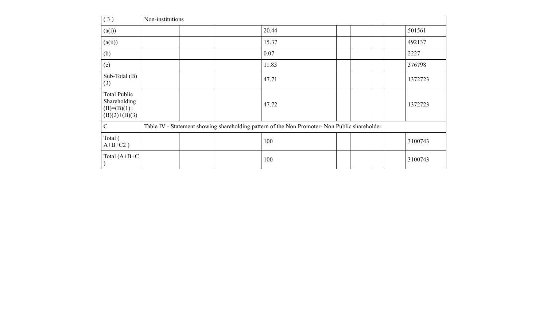| (3)                                                                       | Non-institutions |  |                                                                                               |  |  |         |
|---------------------------------------------------------------------------|------------------|--|-----------------------------------------------------------------------------------------------|--|--|---------|
| (a(i))                                                                    |                  |  | 20.44                                                                                         |  |  | 501561  |
| (a(ii))                                                                   |                  |  | 15.37                                                                                         |  |  | 492137  |
| (b)                                                                       |                  |  | 0.07                                                                                          |  |  | 2227    |
| (e)                                                                       |                  |  | 11.83                                                                                         |  |  | 376798  |
| Sub-Total $(B)$<br>(3)                                                    |                  |  | 47.71                                                                                         |  |  | 1372723 |
| <b>Total Public</b><br>Shareholding<br>$(B)= (B)(1) +$<br>$(B)(2)+(B)(3)$ |                  |  | 47.72                                                                                         |  |  | 1372723 |
| $\mathbf C$                                                               |                  |  | Table IV - Statement showing shareholding pattern of the Non Promoter- Non Public shareholder |  |  |         |
| Total (<br>$A+B+C2$ )                                                     |                  |  | 100                                                                                           |  |  | 3100743 |
| Total $(A+B+C)$                                                           |                  |  | 100                                                                                           |  |  | 3100743 |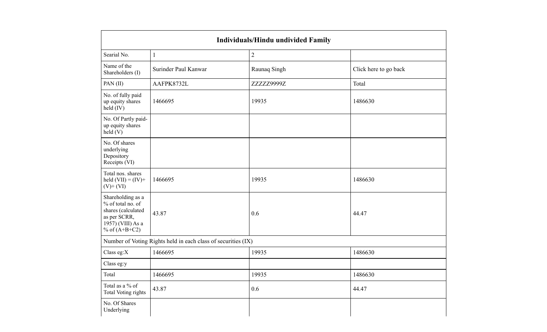|                                                                                                                      |                                                               | Individuals/Hindu undivided Family |                       |
|----------------------------------------------------------------------------------------------------------------------|---------------------------------------------------------------|------------------------------------|-----------------------|
| Searial No.                                                                                                          | $\mathbf{1}$                                                  | 2                                  |                       |
| Name of the<br>Shareholders (I)                                                                                      | Surinder Paul Kanwar                                          | Raunaq Singh                       | Click here to go back |
| PAN(II)                                                                                                              | AAFPK8732L                                                    | ZZZZZ9999Z                         | Total                 |
| No. of fully paid<br>up equity shares<br>held (IV)                                                                   | 1466695                                                       | 19935                              | 1486630               |
| No. Of Partly paid-<br>up equity shares<br>held(V)                                                                   |                                                               |                                    |                       |
| No. Of shares<br>underlying<br>Depository<br>Receipts (VI)                                                           |                                                               |                                    |                       |
| Total nos. shares<br>held $(VII) = (IV) +$<br>$(V)+(VI)$                                                             | 1466695                                                       | 19935                              | 1486630               |
| Shareholding as a<br>% of total no. of<br>shares (calculated<br>as per SCRR,<br>1957) (VIII) As a<br>% of $(A+B+C2)$ | 43.87                                                         | 0.6                                | 44.47                 |
|                                                                                                                      | Number of Voting Rights held in each class of securities (IX) |                                    |                       |
| Class eg:X                                                                                                           | 1466695                                                       | 19935                              | 1486630               |
| Class eg:y                                                                                                           |                                                               |                                    |                       |
| Total                                                                                                                | 1466695                                                       | 19935                              | 1486630               |
| Total as a % of<br><b>Total Voting rights</b>                                                                        | 43.87                                                         | 0.6                                | 44.47                 |
| No. Of Shares<br>Underlying                                                                                          |                                                               |                                    |                       |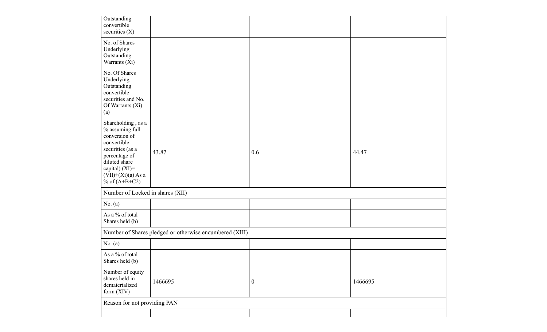| Outstanding<br>convertible<br>securities $(X)$                                                                                                                                                 |                                                         |                  |         |
|------------------------------------------------------------------------------------------------------------------------------------------------------------------------------------------------|---------------------------------------------------------|------------------|---------|
| No. of Shares<br>Underlying<br>Outstanding<br>Warrants (Xi)                                                                                                                                    |                                                         |                  |         |
| No. Of Shares<br>Underlying<br>Outstanding<br>convertible<br>securities and No.<br>Of Warrants (Xi)<br>(a)                                                                                     |                                                         |                  |         |
| Shareholding, as a<br>$\%$ assuming full<br>conversion of<br>convertible<br>securities (as a<br>percentage of<br>diluted share<br>capital) $(XI)$ =<br>$(VII)+(Xi)(a)$ As a<br>% of $(A+B+C2)$ | 43.87                                                   | 0.6              | 44.47   |
| Number of Locked in shares (XII)                                                                                                                                                               |                                                         |                  |         |
| No. $(a)$                                                                                                                                                                                      |                                                         |                  |         |
| As a % of total<br>Shares held (b)                                                                                                                                                             |                                                         |                  |         |
|                                                                                                                                                                                                | Number of Shares pledged or otherwise encumbered (XIII) |                  |         |
| No. $(a)$                                                                                                                                                                                      |                                                         |                  |         |
| As a % of total<br>Shares held (b)                                                                                                                                                             |                                                         |                  |         |
| Number of equity<br>shares held in<br>dematerialized<br>form $(XIV)$                                                                                                                           | 1466695                                                 | $\boldsymbol{0}$ | 1466695 |
| Reason for not providing PAN                                                                                                                                                                   |                                                         |                  |         |
|                                                                                                                                                                                                |                                                         |                  |         |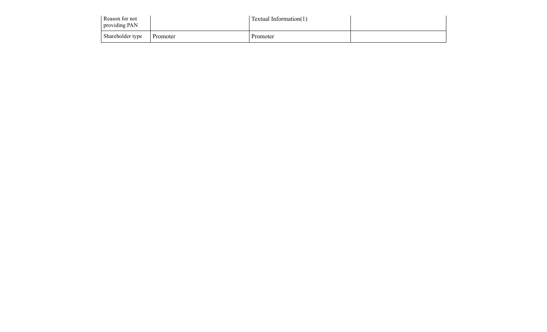| Reason for not<br>providing PAN |          | <b>Textual Information(1)</b> |  |
|---------------------------------|----------|-------------------------------|--|
| Shareholder type                | Promoter | Promoter                      |  |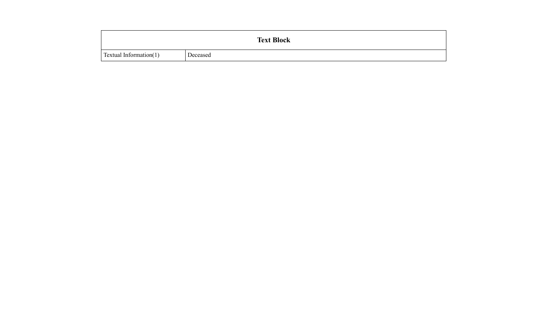|                        |          | <b>Text Block</b> |  |
|------------------------|----------|-------------------|--|
| Textual Information(1) | Deceased |                   |  |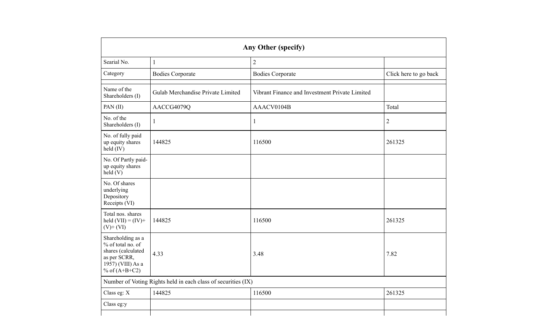|                                                                                                                      | <b>Any Other (specify)</b>                                    |                                                |                       |  |  |
|----------------------------------------------------------------------------------------------------------------------|---------------------------------------------------------------|------------------------------------------------|-----------------------|--|--|
| Searial No.                                                                                                          | $\mathbf{1}$                                                  | $\overline{2}$                                 |                       |  |  |
| Category                                                                                                             | <b>Bodies Corporate</b>                                       | <b>Bodies Corporate</b>                        | Click here to go back |  |  |
| Name of the<br>Shareholders (I)                                                                                      | Gulab Merchandise Private Limited                             | Vibrant Finance and Investment Private Limited |                       |  |  |
| PAN(II)                                                                                                              | AACCG4079Q                                                    | AAACV0104B                                     | Total                 |  |  |
| No. of the<br>Shareholders (I)                                                                                       | $\mathbf{1}$                                                  | $\mathbf{1}$                                   | $\mathfrak{2}$        |  |  |
| No. of fully paid<br>up equity shares<br>held (IV)                                                                   | 144825                                                        | 116500                                         | 261325                |  |  |
| No. Of Partly paid-<br>up equity shares<br>$\text{held}(V)$                                                          |                                                               |                                                |                       |  |  |
| No. Of shares<br>underlying<br>Depository<br>Receipts (VI)                                                           |                                                               |                                                |                       |  |  |
| Total nos. shares<br>held $(VII) = (IV) +$<br>$(V)$ + $(VI)$                                                         | 144825                                                        | 116500                                         | 261325                |  |  |
| Shareholding as a<br>% of total no. of<br>shares (calculated<br>as per SCRR,<br>1957) (VIII) As a<br>% of $(A+B+C2)$ | 4.33                                                          | 3.48                                           | 7.82                  |  |  |
|                                                                                                                      | Number of Voting Rights held in each class of securities (IX) |                                                |                       |  |  |
| Class eg: X                                                                                                          | 144825                                                        | 116500                                         | 261325                |  |  |
| Class eg:y                                                                                                           |                                                               |                                                |                       |  |  |
|                                                                                                                      |                                                               |                                                |                       |  |  |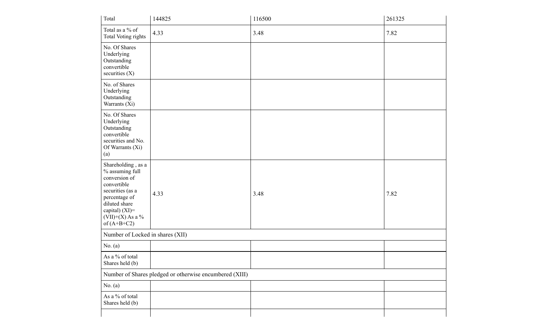| Total                                                                                                                                                                                  | 144825                                                  | 116500 | 261325 |
|----------------------------------------------------------------------------------------------------------------------------------------------------------------------------------------|---------------------------------------------------------|--------|--------|
| Total as a $\%$ of<br>Total Voting rights                                                                                                                                              | 4.33                                                    | 3.48   | 7.82   |
| No. Of Shares<br>Underlying<br>Outstanding<br>convertible<br>securities (X)                                                                                                            |                                                         |        |        |
| No. of Shares<br>Underlying<br>Outstanding<br>Warrants (Xi)                                                                                                                            |                                                         |        |        |
| No. Of Shares<br>Underlying<br>Outstanding<br>convertible<br>securities and No.<br>Of Warrants (Xi)<br>(a)                                                                             |                                                         |        |        |
| Shareholding, as a<br>% assuming full<br>conversion of<br>convertible<br>securities (as a<br>percentage of<br>diluted share<br>capital) $(XI)=$<br>$(VII)+(X)$ As a %<br>of $(A+B+C2)$ | 4.33                                                    | 3.48   | 7.82   |
| Number of Locked in shares (XII)                                                                                                                                                       |                                                         |        |        |
| No. $(a)$                                                                                                                                                                              |                                                         |        |        |
| As a % of total<br>Shares held (b)                                                                                                                                                     |                                                         |        |        |
|                                                                                                                                                                                        | Number of Shares pledged or otherwise encumbered (XIII) |        |        |
| No. $(a)$                                                                                                                                                                              |                                                         |        |        |
| As a % of total<br>Shares held (b)                                                                                                                                                     |                                                         |        |        |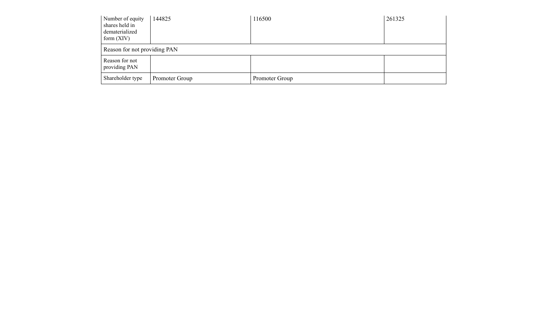| Number of equity<br>shares held in<br>dematerialized<br>form $(XIV)$ | 144825         | 116500         | 261325 |
|----------------------------------------------------------------------|----------------|----------------|--------|
| Reason for not providing PAN                                         |                |                |        |
| Reason for not<br>providing PAN                                      |                |                |        |
| Shareholder type                                                     | Promoter Group | Promoter Group |        |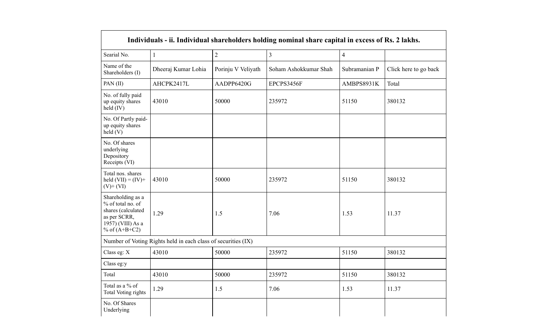|                                                                                                                      |                                                               |                    | Individuals - ii. Individual shareholders holding nominal share capital in excess of Rs. 2 lakhs. |                |                       |
|----------------------------------------------------------------------------------------------------------------------|---------------------------------------------------------------|--------------------|---------------------------------------------------------------------------------------------------|----------------|-----------------------|
| Searial No.                                                                                                          | $\mathbf{1}$                                                  | $\overline{2}$     | $\overline{3}$                                                                                    | $\overline{4}$ |                       |
| Name of the<br>Shareholders (I)                                                                                      | Dheeraj Kumar Lohia                                           | Porinju V Veliyath | Soham Ashokkumar Shah                                                                             | Subramanian P  | Click here to go back |
| PAN(II)                                                                                                              | AHCPK2417L                                                    | AADPP6420G         | EPCPS3456F                                                                                        | AMBPS8931K     | Total                 |
| No. of fully paid<br>up equity shares<br>held (IV)                                                                   | 43010                                                         | 50000              | 235972                                                                                            | 51150          | 380132                |
| No. Of Partly paid-<br>up equity shares<br>held(V)                                                                   |                                                               |                    |                                                                                                   |                |                       |
| No. Of shares<br>underlying<br>Depository<br>Receipts (VI)                                                           |                                                               |                    |                                                                                                   |                |                       |
| Total nos. shares<br>held $(VII) = (IV) +$<br>$(V)+(VI)$                                                             | 43010                                                         | 50000              | 235972                                                                                            | 51150          | 380132                |
| Shareholding as a<br>% of total no. of<br>shares (calculated<br>as per SCRR,<br>1957) (VIII) As a<br>% of $(A+B+C2)$ | 1.29                                                          | 1.5                | 7.06                                                                                              | 1.53           | 11.37                 |
|                                                                                                                      | Number of Voting Rights held in each class of securities (IX) |                    |                                                                                                   |                |                       |
| Class eg: X                                                                                                          | 43010                                                         | 50000              | 235972                                                                                            | 51150          | 380132                |
| Class eg:y                                                                                                           |                                                               |                    |                                                                                                   |                |                       |
| Total                                                                                                                | 43010                                                         | 50000              | 235972                                                                                            | 51150          | 380132                |
| Total as a % of<br>Total Voting rights                                                                               | 1.29                                                          | 1.5                | 7.06                                                                                              | 1.53           | 11.37                 |
| No. Of Shares<br>Underlying                                                                                          |                                                               |                    |                                                                                                   |                |                       |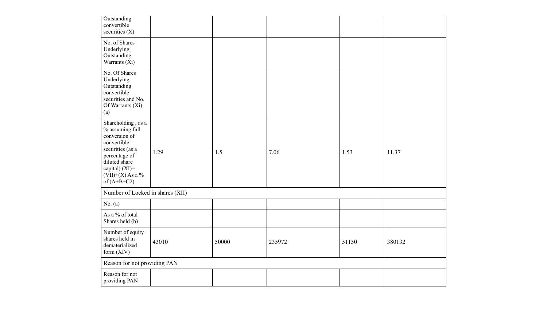| Outstanding<br>convertible<br>securities $(X)$                                                                                                                                         |       |       |        |       |        |
|----------------------------------------------------------------------------------------------------------------------------------------------------------------------------------------|-------|-------|--------|-------|--------|
| No. of Shares<br>Underlying<br>Outstanding<br>Warrants (Xi)                                                                                                                            |       |       |        |       |        |
| No. Of Shares<br>Underlying<br>Outstanding<br>convertible<br>securities and No.<br>Of Warrants (Xi)<br>(a)                                                                             |       |       |        |       |        |
| Shareholding, as a<br>% assuming full<br>conversion of<br>convertible<br>securities (as a<br>percentage of<br>diluted share<br>capital) $(XI)=$<br>$(VII)+(X)$ As a %<br>of $(A+B+C2)$ | 1.29  | 1.5   | 7.06   | 1.53  | 11.37  |
| Number of Locked in shares (XII)                                                                                                                                                       |       |       |        |       |        |
| No. $(a)$                                                                                                                                                                              |       |       |        |       |        |
| As a % of total<br>Shares held (b)                                                                                                                                                     |       |       |        |       |        |
| Number of equity<br>shares held in<br>dematerialized<br>form (XIV)                                                                                                                     | 43010 | 50000 | 235972 | 51150 | 380132 |
| Reason for not providing PAN                                                                                                                                                           |       |       |        |       |        |
| Reason for not<br>providing PAN                                                                                                                                                        |       |       |        |       |        |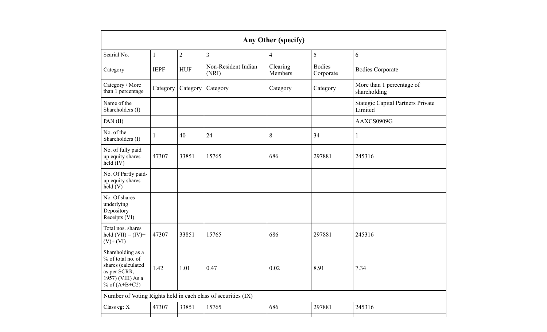|                                                                                                                      |              |                |                                                               | Any Other (specify) |                            |                                                     |
|----------------------------------------------------------------------------------------------------------------------|--------------|----------------|---------------------------------------------------------------|---------------------|----------------------------|-----------------------------------------------------|
| Searial No.                                                                                                          | $\mathbf{1}$ | $\overline{2}$ | $\overline{\mathbf{3}}$                                       | 4                   | 5                          | 6                                                   |
| Category                                                                                                             | <b>IEPF</b>  | <b>HUF</b>     | Non-Resident Indian<br>(NRI)                                  | Clearing<br>Members | <b>Bodies</b><br>Corporate | <b>Bodies Corporate</b>                             |
| Category / More<br>than 1 percentage                                                                                 | Category     | Category       | Category                                                      | Category            | Category                   | More than 1 percentage of<br>shareholding           |
| Name of the<br>Shareholders (I)                                                                                      |              |                |                                                               |                     |                            | <b>Stategic Capital Partners Private</b><br>Limited |
| PAN(II)                                                                                                              |              |                |                                                               |                     |                            | AAXCS0909G                                          |
| No. of the<br>Shareholders (I)                                                                                       | $\mathbf{1}$ | 40             | 24                                                            | 8                   | 34                         | $\mathbf{1}$                                        |
| No. of fully paid<br>up equity shares<br>held (IV)                                                                   | 47307        | 33851          | 15765                                                         | 686                 | 297881                     | 245316                                              |
| No. Of Partly paid-<br>up equity shares<br>held(V)                                                                   |              |                |                                                               |                     |                            |                                                     |
| No. Of shares<br>underlying<br>Depository<br>Receipts (VI)                                                           |              |                |                                                               |                     |                            |                                                     |
| Total nos. shares<br>held $(VII) = (IV) +$<br>$(V)+(VI)$                                                             | 47307        | 33851          | 15765                                                         | 686                 | 297881                     | 245316                                              |
| Shareholding as a<br>% of total no. of<br>shares (calculated<br>as per SCRR,<br>1957) (VIII) As a<br>% of $(A+B+C2)$ | 1.42         | 1.01           | 0.47                                                          | 0.02                | 8.91                       | 7.34                                                |
|                                                                                                                      |              |                | Number of Voting Rights held in each class of securities (IX) |                     |                            |                                                     |
| Class eg: X                                                                                                          | 47307        | 33851          | 15765                                                         | 686                 | 297881                     | 245316                                              |
|                                                                                                                      |              |                |                                                               |                     |                            |                                                     |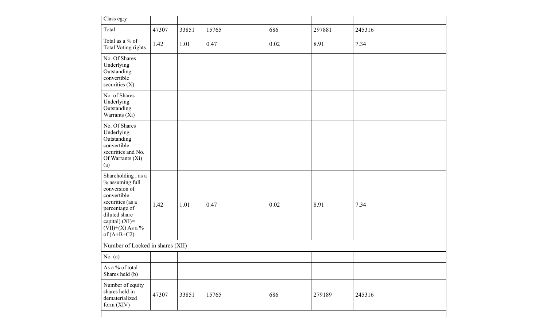| Class eg:y                                                                                                                                                                              |       |       |       |      |        |        |
|-----------------------------------------------------------------------------------------------------------------------------------------------------------------------------------------|-------|-------|-------|------|--------|--------|
| Total                                                                                                                                                                                   | 47307 | 33851 | 15765 | 686  | 297881 | 245316 |
| Total as a % of<br>Total Voting rights                                                                                                                                                  | 1.42  | 1.01  | 0.47  | 0.02 | 8.91   | 7.34   |
| No. Of Shares<br>Underlying<br>Outstanding<br>convertible<br>securities $(X)$                                                                                                           |       |       |       |      |        |        |
| No. of Shares<br>Underlying<br>Outstanding<br>Warrants (Xi)                                                                                                                             |       |       |       |      |        |        |
| No. Of Shares<br>Underlying<br>Outstanding<br>convertible<br>securities and No.<br>Of Warrants (Xi)<br>(a)                                                                              |       |       |       |      |        |        |
| Shareholding, as a<br>% assuming full<br>conversion of<br>convertible<br>securities (as a<br>percentage of<br>diluted share<br>capital) $(XI)$ =<br>$(VII)+(X)$ As a %<br>of $(A+B+C2)$ | 1.42  | 1.01  | 0.47  | 0.02 | 8.91   | 7.34   |
| Number of Locked in shares (XII)                                                                                                                                                        |       |       |       |      |        |        |
| No. $(a)$                                                                                                                                                                               |       |       |       |      |        |        |
| As a % of total<br>Shares held (b)                                                                                                                                                      |       |       |       |      |        |        |
| Number of equity<br>shares held in<br>dematerialized<br>form $(XIV)$                                                                                                                    | 47307 | 33851 | 15765 | 686  | 279189 | 245316 |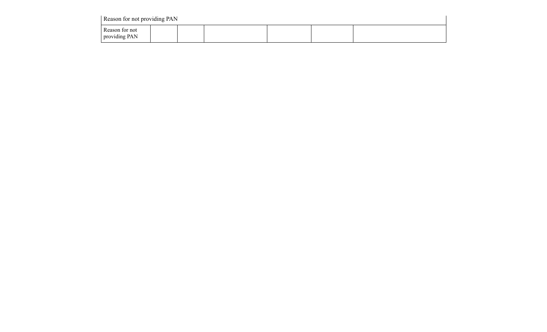| Reason for not providing PAN    |  |  |  |
|---------------------------------|--|--|--|
| Reason for not<br>providing PAN |  |  |  |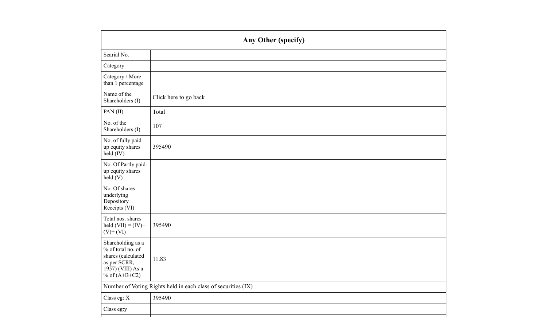|                                                                                                                        | Any Other (specify)                                           |
|------------------------------------------------------------------------------------------------------------------------|---------------------------------------------------------------|
| Searial No.                                                                                                            |                                                               |
| Category                                                                                                               |                                                               |
| Category / More<br>than 1 percentage                                                                                   |                                                               |
| Name of the<br>Shareholders (I)                                                                                        | Click here to go back                                         |
| PAN(II)                                                                                                                | Total                                                         |
| No. of the<br>Shareholders (I)                                                                                         | 107                                                           |
| No. of fully paid<br>up equity shares<br>held (IV)                                                                     | 395490                                                        |
| No. Of Partly paid-<br>up equity shares<br>$\text{held}(V)$                                                            |                                                               |
| No. Of shares<br>underlying<br>Depository<br>Receipts (VI)                                                             |                                                               |
| Total nos. shares<br>held $(VII) = (IV) +$<br>$(V)$ + $(VI)$                                                           | 395490                                                        |
| Shareholding as a<br>% of total no. of<br>shares (calculated<br>as per SCRR,<br>$1957)$ (VIII) As a<br>% of $(A+B+C2)$ | 11.83                                                         |
|                                                                                                                        | Number of Voting Rights held in each class of securities (IX) |
| Class eg: X                                                                                                            | 395490                                                        |
| Class eg:y                                                                                                             |                                                               |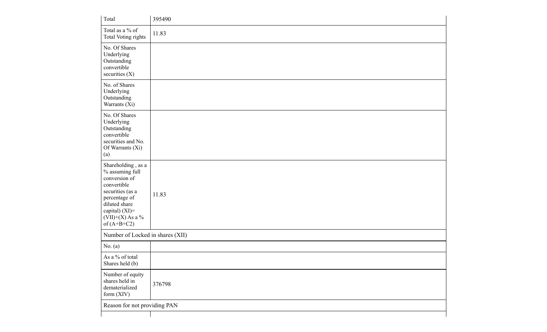| Total                                                                                                                                                                                   | 395490 |
|-----------------------------------------------------------------------------------------------------------------------------------------------------------------------------------------|--------|
| Total as a % of<br>Total Voting rights                                                                                                                                                  | 11.83  |
| No. Of Shares<br>Underlying<br>Outstanding<br>convertible<br>securities (X)                                                                                                             |        |
| No. of Shares<br>Underlying<br>Outstanding<br>Warrants (Xi)                                                                                                                             |        |
| No. Of Shares<br>Underlying<br>Outstanding<br>convertible<br>securities and No.<br>Of Warrants (Xi)<br>(a)                                                                              |        |
| Shareholding, as a<br>% assuming full<br>conversion of<br>convertible<br>securities (as a<br>percentage of<br>diluted share<br>capital) $(XI)$ =<br>$(VII)+(X)$ As a %<br>of $(A+B+C2)$ | 11.83  |
| Number of Locked in shares (XII)                                                                                                                                                        |        |
| No. $(a)$                                                                                                                                                                               |        |
| As a % of total<br>Shares held (b)                                                                                                                                                      |        |
| Number of equity<br>shares held in<br>dematerialized<br>form (XIV)                                                                                                                      | 376798 |
| Reason for not providing PAN                                                                                                                                                            |        |
|                                                                                                                                                                                         |        |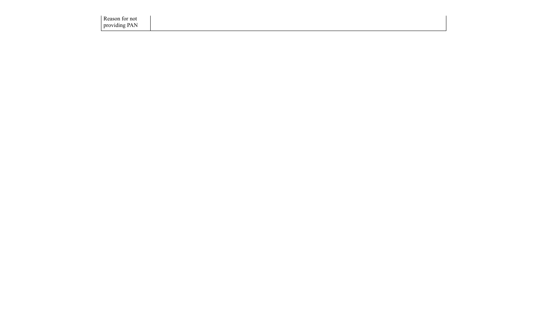Reason for not providing PAN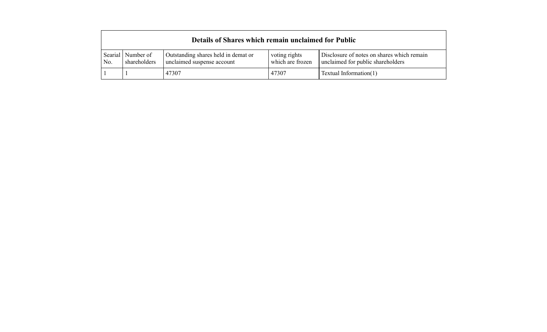|                |                           | Details of Shares which remain unclaimed for Public               |                                   |                                                                                 |
|----------------|---------------------------|-------------------------------------------------------------------|-----------------------------------|---------------------------------------------------------------------------------|
| Searial<br>No. | Number of<br>shareholders | Outstanding shares held in demat or<br>unclaimed suspense account | voting rights<br>which are frozen | Disclosure of notes on shares which remain<br>unclaimed for public shareholders |
|                |                           | 47307                                                             | 47307                             | Textual Information $(1)$                                                       |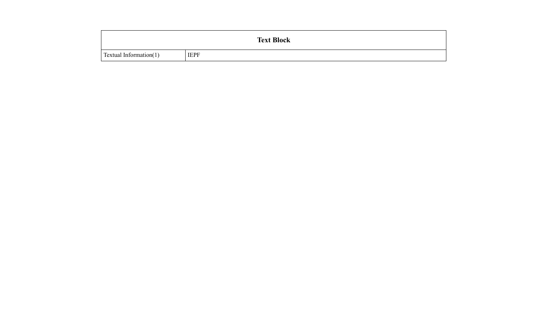|                        |             | <b>Text Block</b> |  |
|------------------------|-------------|-------------------|--|
| Textual Information(1) | <b>IEPF</b> |                   |  |